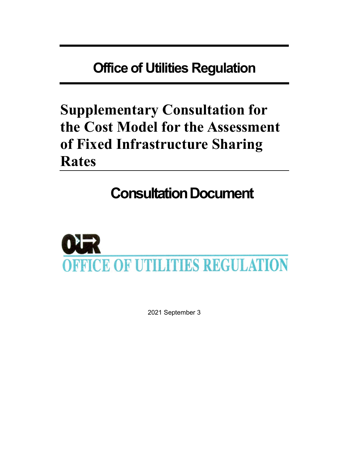# Office of Utilities Regulation

# Supplementary Consultation for the Cost Model for the Assessment of Fixed Infrastructure Sharing Rates

# Consultation Document



2021 September 3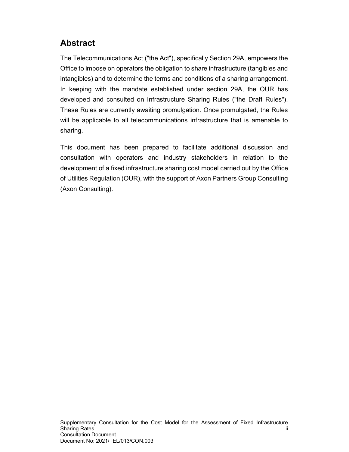# Abstract

The Telecommunications Act ("the Act"), specifically Section 29A, empowers the Office to impose on operators the obligation to share infrastructure (tangibles and intangibles) and to determine the terms and conditions of a sharing arrangement. In keeping with the mandate established under section 29A, the OUR has developed and consulted on Infrastructure Sharing Rules ("the Draft Rules"). These Rules are currently awaiting promulgation. Once promulgated, the Rules will be applicable to all telecommunications infrastructure that is amenable to sharing.

This document has been prepared to facilitate additional discussion and consultation with operators and industry stakeholders in relation to the development of a fixed infrastructure sharing cost model carried out by the Office of Utilities Regulation (OUR), with the support of Axon Partners Group Consulting (Axon Consulting).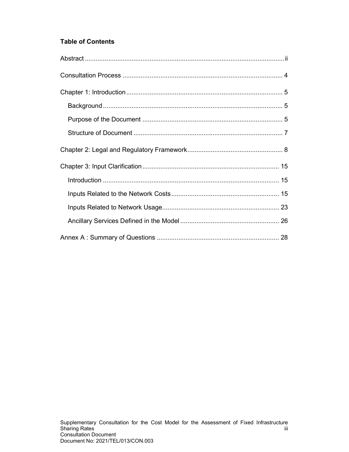## Table of Contents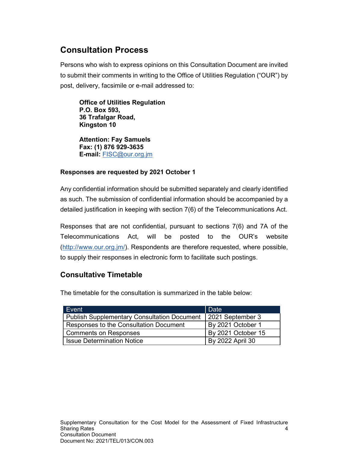# Consultation Process

Persons who wish to express opinions on this Consultation Document are invited to submit their comments in writing to the Office of Utilities Regulation ("OUR") by post, delivery, facsimile or e-mail addressed to:

Office of Utilities Regulation P.O. Box 593, 36 Trafalgar Road, Kingston 10

Attention: Fay Samuels Fax: (1) 876 929-3635 E-mail: FISC@our.org.jm

### Responses are requested by 2021 October 1

Any confidential information should be submitted separately and clearly identified as such. The submission of confidential information should be accompanied by a detailed justification in keeping with section 7(6) of the Telecommunications Act.

Responses that are not confidential, pursuant to sections 7(6) and 7A of the Telecommunications Act, will be posted to the OUR's website (http://www.our.org.jm/). Respondents are therefore requested, where possible, to supply their responses in electronic form to facilitate such postings.

## Consultative Timetable

The timetable for the consultation is summarized in the table below:

| Event                                              | Date               |
|----------------------------------------------------|--------------------|
| <b>Publish Supplementary Consultation Document</b> | 2021 September 3   |
| Responses to the Consultation Document             | By 2021 October 1  |
| Comments on Responses                              | By 2021 October 15 |
| <b>Issue Determination Notice</b>                  | By 2022 April 30   |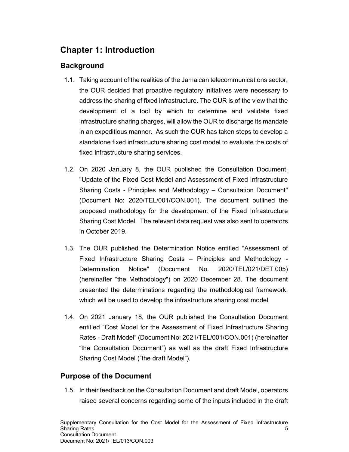# Chapter 1: Introduction

## **Background**

- 1.1. Taking account of the realities of the Jamaican telecommunications sector, the OUR decided that proactive regulatory initiatives were necessary to address the sharing of fixed infrastructure. The OUR is of the view that the development of a tool by which to determine and validate fixed infrastructure sharing charges, will allow the OUR to discharge its mandate in an expeditious manner. As such the OUR has taken steps to develop a standalone fixed infrastructure sharing cost model to evaluate the costs of fixed infrastructure sharing services.
- 1.2. On 2020 January 8, the OUR published the Consultation Document, "Update of the Fixed Cost Model and Assessment of Fixed Infrastructure Sharing Costs - Principles and Methodology – Consultation Document" (Document No: 2020/TEL/001/CON.001). The document outlined the proposed methodology for the development of the Fixed Infrastructure Sharing Cost Model. The relevant data request was also sent to operators in October 2019.
- 1.3. The OUR published the Determination Notice entitled "Assessment of Fixed Infrastructure Sharing Costs – Principles and Methodology - Determination Notice" (Document No. 2020/TEL/021/DET.005) (hereinafter "the Methodology") on 2020 December 28. The document presented the determinations regarding the methodological framework, which will be used to develop the infrastructure sharing cost model.
- 1.4. On 2021 January 18, the OUR published the Consultation Document entitled "Cost Model for the Assessment of Fixed Infrastructure Sharing Rates - Draft Model" (Document No: 2021/TEL/001/CON.001) (hereinafter "the Consultation Document") as well as the draft Fixed Infrastructure Sharing Cost Model ("the draft Model").

## Purpose of the Document

1.5. In their feedback on the Consultation Document and draft Model, operators raised several concerns regarding some of the inputs included in the draft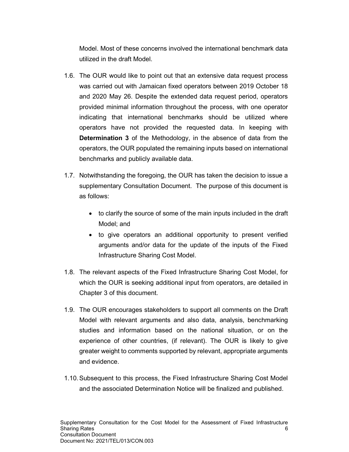Model. Most of these concerns involved the international benchmark data utilized in the draft Model.

- 1.6. The OUR would like to point out that an extensive data request process was carried out with Jamaican fixed operators between 2019 October 18 and 2020 May 26. Despite the extended data request period, operators provided minimal information throughout the process, with one operator indicating that international benchmarks should be utilized where operators have not provided the requested data. In keeping with Determination 3 of the Methodology, in the absence of data from the operators, the OUR populated the remaining inputs based on international benchmarks and publicly available data.
- 1.7. Notwithstanding the foregoing, the OUR has taken the decision to issue a supplementary Consultation Document. The purpose of this document is as follows:
	- to clarify the source of some of the main inputs included in the draft Model; and
	- to give operators an additional opportunity to present verified arguments and/or data for the update of the inputs of the Fixed Infrastructure Sharing Cost Model.
- 1.8. The relevant aspects of the Fixed Infrastructure Sharing Cost Model, for which the OUR is seeking additional input from operators, are detailed in Chapter 3 of this document.
- 1.9. The OUR encourages stakeholders to support all comments on the Draft Model with relevant arguments and also data, analysis, benchmarking studies and information based on the national situation, or on the experience of other countries, (if relevant). The OUR is likely to give greater weight to comments supported by relevant, appropriate arguments and evidence.
- 1.10. Subsequent to this process, the Fixed Infrastructure Sharing Cost Model and the associated Determination Notice will be finalized and published.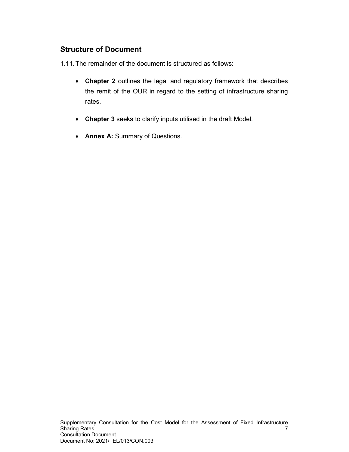## Structure of Document

1.11. The remainder of the document is structured as follows:

- Chapter 2 outlines the legal and regulatory framework that describes the remit of the OUR in regard to the setting of infrastructure sharing rates.
- Chapter 3 seeks to clarify inputs utilised in the draft Model.
- Annex A: Summary of Questions.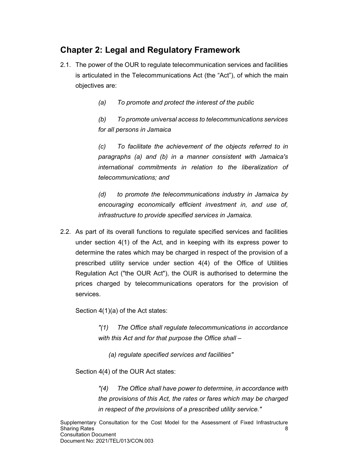# Chapter 2: Legal and Regulatory Framework

- 2.1. The power of the OUR to regulate telecommunication services and facilities is articulated in the Telecommunications Act (the "Act"), of which the main objectives are:
	- (a) To promote and protect the interest of the public

(b) To promote universal access to telecommunications services for all persons in Jamaica

(c) To facilitate the achievement of the objects referred to in paragraphs (a) and (b) in a manner consistent with Jamaica's international commitments in relation to the liberalization of telecommunications; and

(d) to promote the telecommunications industry in Jamaica by encouraging economically efficient investment in, and use of, infrastructure to provide specified services in Jamaica.

2.2. As part of its overall functions to regulate specified services and facilities under section 4(1) of the Act, and in keeping with its express power to determine the rates which may be charged in respect of the provision of a prescribed utility service under section 4(4) of the Office of Utilities Regulation Act ("the OUR Act"), the OUR is authorised to determine the prices charged by telecommunications operators for the provision of services.

Section 4(1)(a) of the Act states:

"(1) The Office shall regulate telecommunications in accordance with this Act and for that purpose the Office shall –

(a) regulate specified services and facilities"

Section 4(4) of the OUR Act states:

"(4) The Office shall have power to determine, in accordance with the provisions of this Act, the rates or fares which may be charged in respect of the provisions of a prescribed utility service."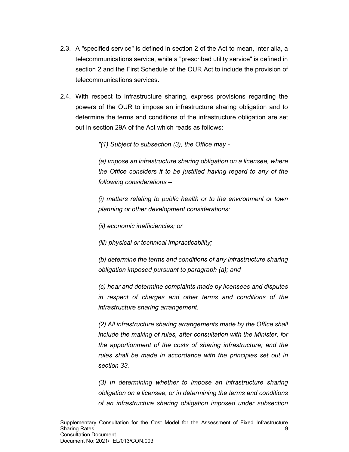- 2.3. A "specified service" is defined in section 2 of the Act to mean, inter alia, a telecommunications service, while a "prescribed utility service" is defined in section 2 and the First Schedule of the OUR Act to include the provision of telecommunications services.
- 2.4. With respect to infrastructure sharing, express provisions regarding the powers of the OUR to impose an infrastructure sharing obligation and to determine the terms and conditions of the infrastructure obligation are set out in section 29A of the Act which reads as follows:

"(1) Subject to subsection (3), the Office may -

(a) impose an infrastructure sharing obligation on a licensee, where the Office considers it to be justified having regard to any of the following considerations –

(i) matters relating to public health or to the environment or town planning or other development considerations;

(ii) economic inefficiencies; or

(iii) physical or technical impracticability;

(b) determine the terms and conditions of any infrastructure sharing obligation imposed pursuant to paragraph (a); and

(c) hear and determine complaints made by licensees and disputes in respect of charges and other terms and conditions of the infrastructure sharing arrangement.

(2) All infrastructure sharing arrangements made by the Office shall include the making of rules, after consultation with the Minister, for the apportionment of the costs of sharing infrastructure; and the rules shall be made in accordance with the principles set out in section 33.

(3) In determining whether to impose an infrastructure sharing obligation on a licensee, or in determining the terms and conditions of an infrastructure sharing obligation imposed under subsection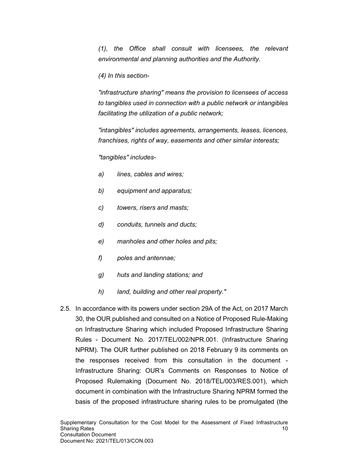(1), the Office shall consult with licensees, the relevant environmental and planning authorities and the Authority.

(4) In this section-

"infrastructure sharing" means the provision to licensees of access to tangibles used in connection with a public network or intangibles facilitating the utilization of a public network;

"intangibles" includes agreements, arrangements, leases, licences, franchises, rights of way, easements and other similar interests;

"tangibles" includes-

- a) lines, cables and wires;
- b) equipment and apparatus;
- c) towers, risers and masts;
- d) conduits, tunnels and ducts;
- e) manholes and other holes and pits;
- f) poles and antennae;
- g) huts and landing stations; and
- h) land, building and other real property."
- 2.5. In accordance with its powers under section 29A of the Act, on 2017 March 30, the OUR published and consulted on a Notice of Proposed Rule-Making on Infrastructure Sharing which included Proposed Infrastructure Sharing Rules - Document No. 2017/TEL/002/NPR.001. (Infrastructure Sharing NPRM). The OUR further published on 2018 February 9 its comments on the responses received from this consultation in the document - Infrastructure Sharing: OUR's Comments on Responses to Notice of Proposed Rulemaking (Document No. 2018/TEL/003/RES.001), which document in combination with the Infrastructure Sharing NPRM formed the basis of the proposed infrastructure sharing rules to be promulgated (the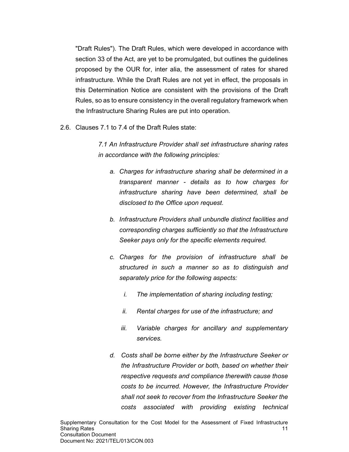"Draft Rules"). The Draft Rules, which were developed in accordance with section 33 of the Act, are yet to be promulgated, but outlines the guidelines proposed by the OUR for, inter alia, the assessment of rates for shared infrastructure. While the Draft Rules are not yet in effect, the proposals in this Determination Notice are consistent with the provisions of the Draft Rules, so as to ensure consistency in the overall regulatory framework when the Infrastructure Sharing Rules are put into operation.

2.6. Clauses 7.1 to 7.4 of the Draft Rules state:

7.1 An Infrastructure Provider shall set infrastructure sharing rates in accordance with the following principles:

- a. Charges for infrastructure sharing shall be determined in a transparent manner - details as to how charges for infrastructure sharing have been determined, shall be disclosed to the Office upon request.
- b. Infrastructure Providers shall unbundle distinct facilities and corresponding charges sufficiently so that the Infrastructure Seeker pays only for the specific elements required.
- c. Charges for the provision of infrastructure shall be structured in such a manner so as to distinguish and separately price for the following aspects:
	- i. The implementation of sharing including testing;
	- ii. Rental charges for use of the infrastructure; and
	- iii. Variable charges for ancillary and supplementary services.
- d. Costs shall be borne either by the Infrastructure Seeker or the Infrastructure Provider or both, based on whether their respective requests and compliance therewith cause those costs to be incurred. However, the Infrastructure Provider shall not seek to recover from the Infrastructure Seeker the costs associated with providing existing technical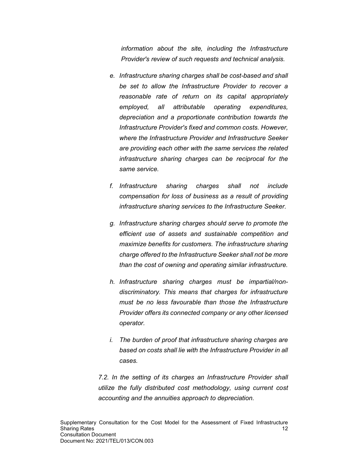information about the site, including the Infrastructure Provider's review of such requests and technical analysis.

- e. Infrastructure sharing charges shall be cost-based and shall be set to allow the Infrastructure Provider to recover a reasonable rate of return on its capital appropriately employed, all attributable operating expenditures, depreciation and a proportionate contribution towards the Infrastructure Provider's fixed and common costs. However, where the Infrastructure Provider and Infrastructure Seeker are providing each other with the same services the related infrastructure sharing charges can be reciprocal for the same service.
- f. Infrastructure sharing charges shall not include compensation for loss of business as a result of providing infrastructure sharing services to the Infrastructure Seeker.
- g. Infrastructure sharing charges should serve to promote the efficient use of assets and sustainable competition and maximize benefits for customers. The infrastructure sharing charge offered to the Infrastructure Seeker shall not be more than the cost of owning and operating similar infrastructure.
- h. Infrastructure sharing charges must be impartial/nondiscriminatory. This means that charges for infrastructure must be no less favourable than those the Infrastructure Provider offers its connected company or any other licensed operator.
- i. The burden of proof that infrastructure sharing charges are based on costs shall lie with the Infrastructure Provider in all cases.

7.2. In the setting of its charges an Infrastructure Provider shall utilize the fully distributed cost methodology, using current cost accounting and the annuities approach to depreciation.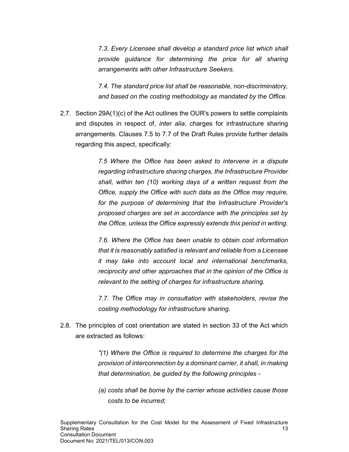7.3. Every Licensee shall develop a standard price list which shall provide guidance for determining the price for all sharing arrangements with other Infrastructure Seekers.

7.4. The standard price list shall be reasonable, non-discriminatory, and based on the costing methodology as mandated by the Office.

2.7. Section 29A(1)(c) of the Act outlines the OUR's powers to settle complaints and disputes in respect of, *inter alia*, charges for infrastructure sharing arrangements. Clauses 7.5 to 7.7 of the Draft Rules provide further details regarding this aspect, specifically:

> 7.5 Where the Office has been asked to intervene in a dispute regarding infrastructure sharing charges, the Infrastructure Provider shall, within ten (10) working days of a written request from the Office, supply the Office with such data as the Office may require, for the purpose of determining that the Infrastructure Provider's proposed charges are set in accordance with the principles set by the Office, unless the Office expressly extends this period in writing.

> 7.6. Where the Office has been unable to obtain cost information that it is reasonably satisfied is relevant and reliable from a Licensee it may take into account local and international benchmarks, reciprocity and other approaches that in the opinion of the Office is relevant to the setting of charges for infrastructure sharing.

> 7.7. The Office may in consultation with stakeholders, revise the costing methodology for infrastructure sharing.

2.8. The principles of cost orientation are stated in section 33 of the Act which are extracted as follows:

> "(1) Where the Office is required to determine the charges for the provision of interconnection by a dominant carrier, it shall, in making that determination, be guided by the following principles -

> (a) costs shall be borne by the carrier whose activities cause those costs to be incurred;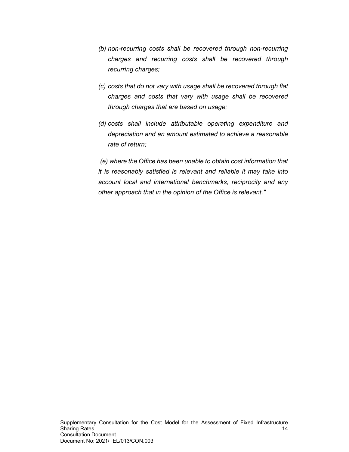- (b) non-recurring costs shall be recovered through non-recurring charges and recurring costs shall be recovered through recurring charges;
- (c) costs that do not vary with usage shall be recovered through flat charges and costs that vary with usage shall be recovered through charges that are based on usage;
- (d) costs shall include attributable operating expenditure and depreciation and an amount estimated to achieve a reasonable rate of return;

 (e) where the Office has been unable to obtain cost information that it is reasonably satisfied is relevant and reliable it may take into account local and international benchmarks, reciprocity and any other approach that in the opinion of the Office is relevant."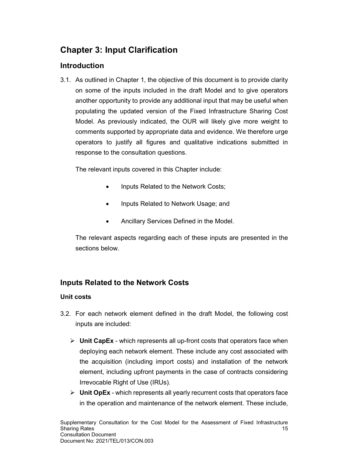# Chapter 3: Input Clarification

## Introduction

3.1. As outlined in Chapter 1, the objective of this document is to provide clarity on some of the inputs included in the draft Model and to give operators another opportunity to provide any additional input that may be useful when populating the updated version of the Fixed Infrastructure Sharing Cost Model. As previously indicated, the OUR will likely give more weight to comments supported by appropriate data and evidence. We therefore urge operators to justify all figures and qualitative indications submitted in response to the consultation questions.

The relevant inputs covered in this Chapter include:

- Inputs Related to the Network Costs;
- Inputs Related to Network Usage; and
- Ancillary Services Defined in the Model.

The relevant aspects regarding each of these inputs are presented in the sections below.

# Inputs Related to the Network Costs

## Unit costs

- 3.2. For each network element defined in the draft Model, the following cost inputs are included:
	- $\triangleright$  Unit CapEx which represents all up-front costs that operators face when deploying each network element. These include any cost associated with the acquisition (including import costs) and installation of the network element, including upfront payments in the case of contracts considering Irrevocable Right of Use (IRUs).
	- $\triangleright$  Unit OpEx which represents all yearly recurrent costs that operators face in the operation and maintenance of the network element. These include,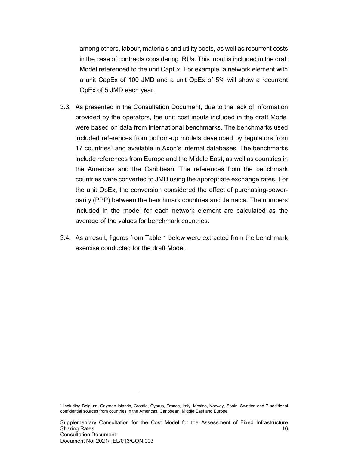among others, labour, materials and utility costs, as well as recurrent costs in the case of contracts considering IRUs. This input is included in the draft Model referenced to the unit CapEx. For example, a network element with a unit CapEx of 100 JMD and a unit OpEx of 5% will show a recurrent OpEx of 5 JMD each year.

- 3.3. As presented in the Consultation Document, due to the lack of information provided by the operators, the unit cost inputs included in the draft Model were based on data from international benchmarks. The benchmarks used included references from bottom-up models developed by regulators from 17 countries<sup>1</sup> and available in Axon's internal databases. The benchmarks include references from Europe and the Middle East, as well as countries in the Americas and the Caribbean. The references from the benchmark countries were converted to JMD using the appropriate exchange rates. For the unit OpEx, the conversion considered the effect of purchasing-powerparity (PPP) between the benchmark countries and Jamaica. The numbers included in the model for each network element are calculated as the average of the values for benchmark countries.
- 3.4. As a result, figures from Table 1 below were extracted from the benchmark exercise conducted for the draft Model.

 $\overline{a}$ 

<sup>1</sup> Including Belgium, Cayman Islands, Croatia, Cyprus, France, Italy, Mexico, Norway, Spain, Sweden and 7 additional confidential sources from countries in the Americas, Caribbean, Middle East and Europe.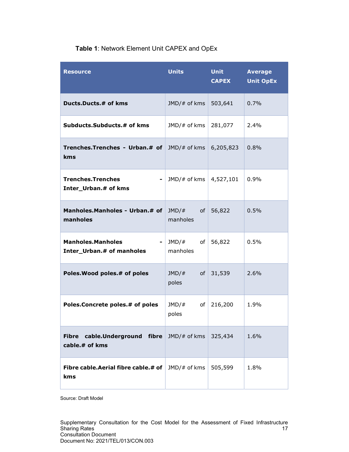| <b>Resource</b>                                           | <b>Units</b>               | <b>Unit</b><br><b>CAPEX</b> | <b>Average</b><br><b>Unit OpEx</b> |
|-----------------------------------------------------------|----------------------------|-----------------------------|------------------------------------|
| Ducts.Ducts.# of kms                                      | JMD/# of kms               | 503,641                     | 0.7%                               |
| Subducts.Subducts.# of kms                                | JMD/# of kms               | 281,077                     | 2.4%                               |
| <b>Trenches.Trenches - Urban.# of</b> JMD/# of kms<br>kms |                            | 6,205,823                   | 0.8%                               |
| <b>Trenches.Trenches</b><br>Inter_Urban.# of kms          | $JMD/\#$ of kms            | 4,527,101                   | 0.9%                               |
| Manholes.Manholes - Urban.# of<br>manholes                | $JMD/\#$<br>manholes       | of 56,822                   | 0.5%                               |
| <b>Manholes.Manholes</b><br>Inter_Urban.# of manholes     | $JMD/\#$<br>of<br>manholes | 56,822                      | 0.5%                               |
| Poles. Wood poles. # of poles                             | JMD/#<br>of<br>poles       | 31,539                      | 2.6%                               |
| Poles.Concrete poles.# of poles                           | JMD/#<br>of<br>poles       | 216,200                     | 1.9%                               |
| cable.Underground fibre<br><b>Fibre</b><br>cable.# of kms | $JMD/\#$ of kms            | 325,434                     | 1.6%                               |
| Fibre cable. Aerial fibre cable. # of<br>kms              | JMD/# of kms               | 505,599                     | 1.8%                               |

## Table 1: Network Element Unit CAPEX and OpEx

Source: Draft Model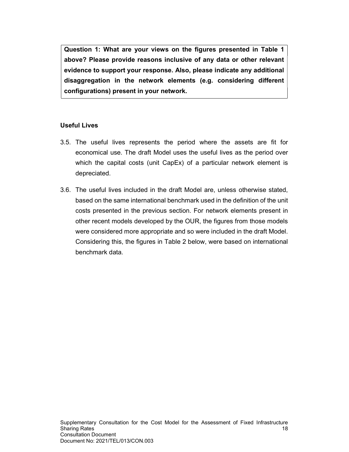Question 1: What are your views on the figures presented in Table 1 above? Please provide reasons inclusive of any data or other relevant evidence to support your response. Also, please indicate any additional disaggregation in the network elements (e.g. considering different configurations) present in your network.

#### Useful Lives

- 3.5. The useful lives represents the period where the assets are fit for economical use. The draft Model uses the useful lives as the period over which the capital costs (unit CapEx) of a particular network element is depreciated.
- 3.6. The useful lives included in the draft Model are, unless otherwise stated, based on the same international benchmark used in the definition of the unit costs presented in the previous section. For network elements present in other recent models developed by the OUR, the figures from those models were considered more appropriate and so were included in the draft Model. Considering this, the figures in Table 2 below, were based on international benchmark data.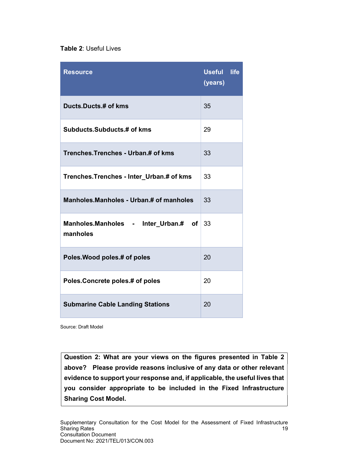#### Table 2: Useful Lives

| <b>Resource</b>                                  | <b>Useful</b><br>life<br>(years) |
|--------------------------------------------------|----------------------------------|
| Ducts.Ducts.# of kms                             | 35                               |
| Subducts.Subducts.# of kms                       | 29                               |
| Trenches. Trenches - Urban.# of kms              | 33                               |
| Trenches.Trenches - Inter_Urban.# of kms         | 33                               |
| Manholes.Manholes - Urban.# of manholes          | 33                               |
| Manholes.Manholes - Inter_Urban.# of<br>manholes | 33                               |
| Poles. Wood poles.# of poles                     | 20                               |
| Poles. Concrete poles.# of poles                 | 20                               |
| <b>Submarine Cable Landing Stations</b>          | 20                               |

Source: Draft Model

Question 2: What are your views on the figures presented in Table 2 above? Please provide reasons inclusive of any data or other relevant evidence to support your response and, if applicable, the useful lives that you consider appropriate to be included in the Fixed Infrastructure Sharing Cost Model.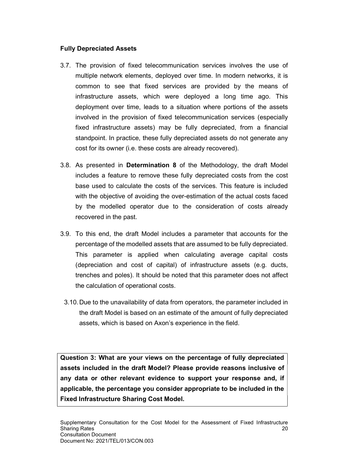#### Fully Depreciated Assets

- 3.7. The provision of fixed telecommunication services involves the use of multiple network elements, deployed over time. In modern networks, it is common to see that fixed services are provided by the means of infrastructure assets, which were deployed a long time ago. This deployment over time, leads to a situation where portions of the assets involved in the provision of fixed telecommunication services (especially fixed infrastructure assets) may be fully depreciated, from a financial standpoint. In practice, these fully depreciated assets do not generate any cost for its owner (i.e. these costs are already recovered).
- 3.8. As presented in **Determination 8** of the Methodology, the draft Model includes a feature to remove these fully depreciated costs from the cost base used to calculate the costs of the services. This feature is included with the objective of avoiding the over-estimation of the actual costs faced by the modelled operator due to the consideration of costs already recovered in the past.
- 3.9. To this end, the draft Model includes a parameter that accounts for the percentage of the modelled assets that are assumed to be fully depreciated. This parameter is applied when calculating average capital costs (depreciation and cost of capital) of infrastructure assets (e.g. ducts, trenches and poles). It should be noted that this parameter does not affect the calculation of operational costs.
- 3.10. Due to the unavailability of data from operators, the parameter included in the draft Model is based on an estimate of the amount of fully depreciated assets, which is based on Axon's experience in the field.

Question 3: What are your views on the percentage of fully depreciated assets included in the draft Model? Please provide reasons inclusive of any data or other relevant evidence to support your response and, if applicable, the percentage you consider appropriate to be included in the Fixed Infrastructure Sharing Cost Model.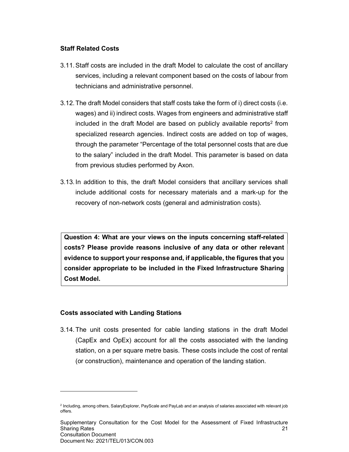#### Staff Related Costs

- 3.11. Staff costs are included in the draft Model to calculate the cost of ancillary services, including a relevant component based on the costs of labour from technicians and administrative personnel.
- 3.12. The draft Model considers that staff costs take the form of i) direct costs (i.e. wages) and ii) indirect costs. Wages from engineers and administrative staff included in the draft Model are based on publicly available reports<sup>2</sup> from specialized research agencies. Indirect costs are added on top of wages, through the parameter "Percentage of the total personnel costs that are due to the salary" included in the draft Model. This parameter is based on data from previous studies performed by Axon.
- 3.13. In addition to this, the draft Model considers that ancillary services shall include additional costs for necessary materials and a mark-up for the recovery of non-network costs (general and administration costs).

Question 4: What are your views on the inputs concerning staff-related costs? Please provide reasons inclusive of any data or other relevant evidence to support your response and, if applicable, the figures that you consider appropriate to be included in the Fixed Infrastructure Sharing Cost Model.

#### Costs associated with Landing Stations

 $\overline{a}$ 

3.14. The unit costs presented for cable landing stations in the draft Model (CapEx and OpEx) account for all the costs associated with the landing station, on a per square metre basis. These costs include the cost of rental (or construction), maintenance and operation of the landing station.

<sup>2</sup> Including, among others, SalaryExplorer, PayScale and PayLab and an analysis of salaries associated with relevant job offers.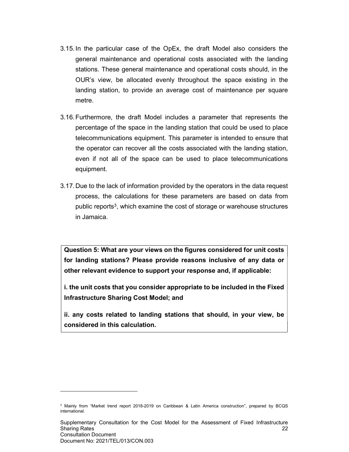- 3.15. In the particular case of the OpEx, the draft Model also considers the general maintenance and operational costs associated with the landing stations. These general maintenance and operational costs should, in the OUR's view, be allocated evenly throughout the space existing in the landing station, to provide an average cost of maintenance per square metre.
- 3.16. Furthermore, the draft Model includes a parameter that represents the percentage of the space in the landing station that could be used to place telecommunications equipment. This parameter is intended to ensure that the operator can recover all the costs associated with the landing station, even if not all of the space can be used to place telecommunications equipment.
- 3.17. Due to the lack of information provided by the operators in the data request process, the calculations for these parameters are based on data from public reports<sup>3</sup>, which examine the cost of storage or warehouse structures in Jamaica.

Question 5: What are your views on the figures considered for unit costs for landing stations? Please provide reasons inclusive of any data or other relevant evidence to support your response and, if applicable:

i. the unit costs that you consider appropriate to be included in the Fixed Infrastructure Sharing Cost Model; and

ii. any costs related to landing stations that should, in your view, be considered in this calculation.

 $\overline{a}$ 

<sup>3</sup> Mainly from "Market trend report 2018-2019 on Caribbean & Latin America construction", prepared by BCQS international.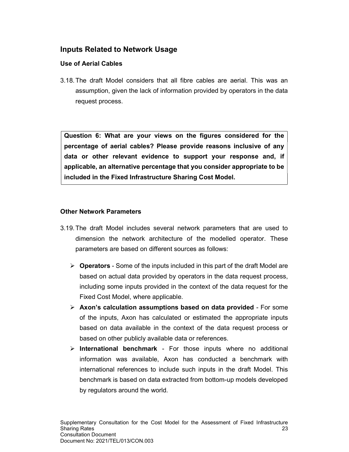## Inputs Related to Network Usage

### Use of Aerial Cables

3.18. The draft Model considers that all fibre cables are aerial. This was an assumption, given the lack of information provided by operators in the data request process.

Question 6: What are your views on the figures considered for the percentage of aerial cables? Please provide reasons inclusive of any data or other relevant evidence to support your response and, if applicable, an alternative percentage that you consider appropriate to be included in the Fixed Infrastructure Sharing Cost Model.

#### Other Network Parameters

- 3.19. The draft Model includes several network parameters that are used to dimension the network architecture of the modelled operator. These parameters are based on different sources as follows:
	- $\triangleright$  Operators Some of the inputs included in this part of the draft Model are based on actual data provided by operators in the data request process, including some inputs provided in the context of the data request for the Fixed Cost Model, where applicable.
	- $\triangleright$  Axon's calculation assumptions based on data provided For some of the inputs, Axon has calculated or estimated the appropriate inputs based on data available in the context of the data request process or based on other publicly available data or references.
	- $\triangleright$  International benchmark For those inputs where no additional information was available, Axon has conducted a benchmark with international references to include such inputs in the draft Model. This benchmark is based on data extracted from bottom-up models developed by regulators around the world.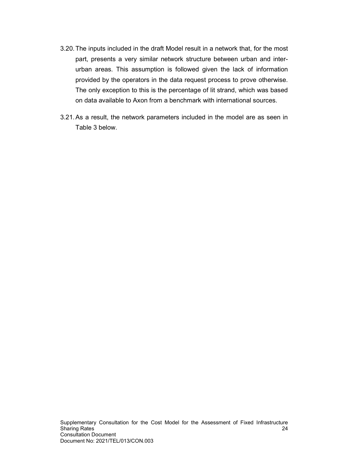- 3.20. The inputs included in the draft Model result in a network that, for the most part, presents a very similar network structure between urban and interurban areas. This assumption is followed given the lack of information provided by the operators in the data request process to prove otherwise. The only exception to this is the percentage of lit strand, which was based on data available to Axon from a benchmark with international sources.
- 3.21. As a result, the network parameters included in the model are as seen in Table 3 below.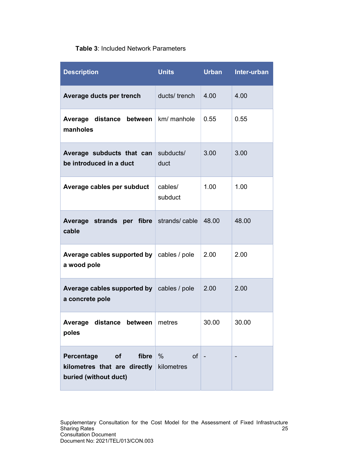## Table 3: Included Network Parameters

| <b>Description</b>                                                                 | <b>Units</b>             | <b>Urban</b> | Inter-urban |
|------------------------------------------------------------------------------------|--------------------------|--------------|-------------|
| Average ducts per trench                                                           | ducts/trench             | 4.00         | 4.00        |
| Average distance between<br>manholes                                               | km/ manhole              | 0.55         | 0.55        |
| Average subducts that can<br>be introduced in a duct                               | subducts/<br>duct        | 3.00         | 3.00        |
| Average cables per subduct                                                         | cables/<br>subduct       | 1.00         | 1.00        |
| Average strands per fibre<br>cable                                                 | strands/cable            | 48.00        | 48.00       |
| Average cables supported by<br>a wood pole                                         | cables / pole            | 2.00         | 2.00        |
| Average cables supported by<br>a concrete pole                                     | cables / pole            | 2.00         | 2.00        |
| Average<br>distance between<br>poles                                               | metres                   | 30.00        | 30.00       |
| Percentage<br>fibre<br>of<br>kilometres that are directly<br>buried (without duct) | $\%$<br>of<br>kilometres |              |             |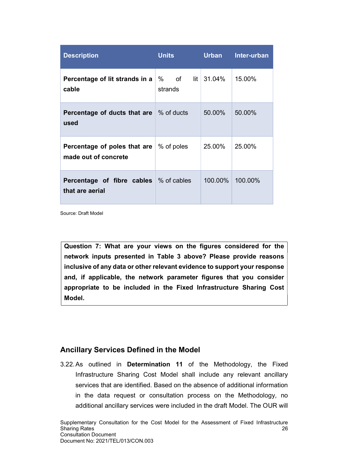| <b>Description</b>                                               | <b>Units</b>    | Urban        | Inter-urban |
|------------------------------------------------------------------|-----------------|--------------|-------------|
| Percentage of lit strands in a<br>cable                          | % of<br>strands | $lit$ 31.04% | 15.00%      |
| Percentage of ducts that are<br>used                             | ∣% of ducts     | 50.00%       | 50.00%      |
| Percentage of poles that are<br>made out of concrete             | % of poles      | 25.00%       | 25.00%      |
| <b>Percentage of fibre cables</b> % of cables<br>that are aerial |                 | 100.00%      | 100.00%     |

Source: Draft Model

Question 7: What are your views on the figures considered for the network inputs presented in Table 3 above? Please provide reasons inclusive of any data or other relevant evidence to support your response and, if applicable, the network parameter figures that you consider appropriate to be included in the Fixed Infrastructure Sharing Cost Model.

### Ancillary Services Defined in the Model

3.22. As outlined in Determination 11 of the Methodology, the Fixed Infrastructure Sharing Cost Model shall include any relevant ancillary services that are identified. Based on the absence of additional information in the data request or consultation process on the Methodology, no additional ancillary services were included in the draft Model. The OUR will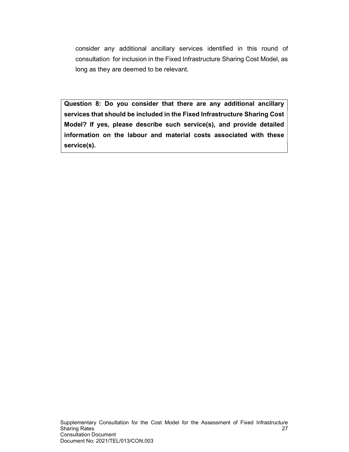consider any additional ancillary services identified in this round of consultation for inclusion in the Fixed Infrastructure Sharing Cost Model, as long as they are deemed to be relevant.

Question 8: Do you consider that there are any additional ancillary services that should be included in the Fixed Infrastructure Sharing Cost Model? If yes, please describe such service(s), and provide detailed information on the labour and material costs associated with these service(s).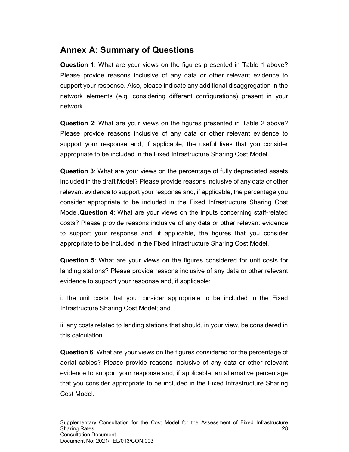# Annex A: Summary of Questions

Question 1: What are your views on the figures presented in Table 1 above? Please provide reasons inclusive of any data or other relevant evidence to support your response. Also, please indicate any additional disaggregation in the network elements (e.g. considering different configurations) present in your network.

Question 2: What are your views on the figures presented in Table 2 above? Please provide reasons inclusive of any data or other relevant evidence to support your response and, if applicable, the useful lives that you consider appropriate to be included in the Fixed Infrastructure Sharing Cost Model.

Question 3: What are your views on the percentage of fully depreciated assets included in the draft Model? Please provide reasons inclusive of any data or other relevant evidence to support your response and, if applicable, the percentage you consider appropriate to be included in the Fixed Infrastructure Sharing Cost Model.Question 4: What are your views on the inputs concerning staff-related costs? Please provide reasons inclusive of any data or other relevant evidence to support your response and, if applicable, the figures that you consider appropriate to be included in the Fixed Infrastructure Sharing Cost Model.

Question 5: What are your views on the figures considered for unit costs for landing stations? Please provide reasons inclusive of any data or other relevant evidence to support your response and, if applicable:

i. the unit costs that you consider appropriate to be included in the Fixed Infrastructure Sharing Cost Model; and

ii. any costs related to landing stations that should, in your view, be considered in this calculation.

Question 6: What are your views on the figures considered for the percentage of aerial cables? Please provide reasons inclusive of any data or other relevant evidence to support your response and, if applicable, an alternative percentage that you consider appropriate to be included in the Fixed Infrastructure Sharing Cost Model.